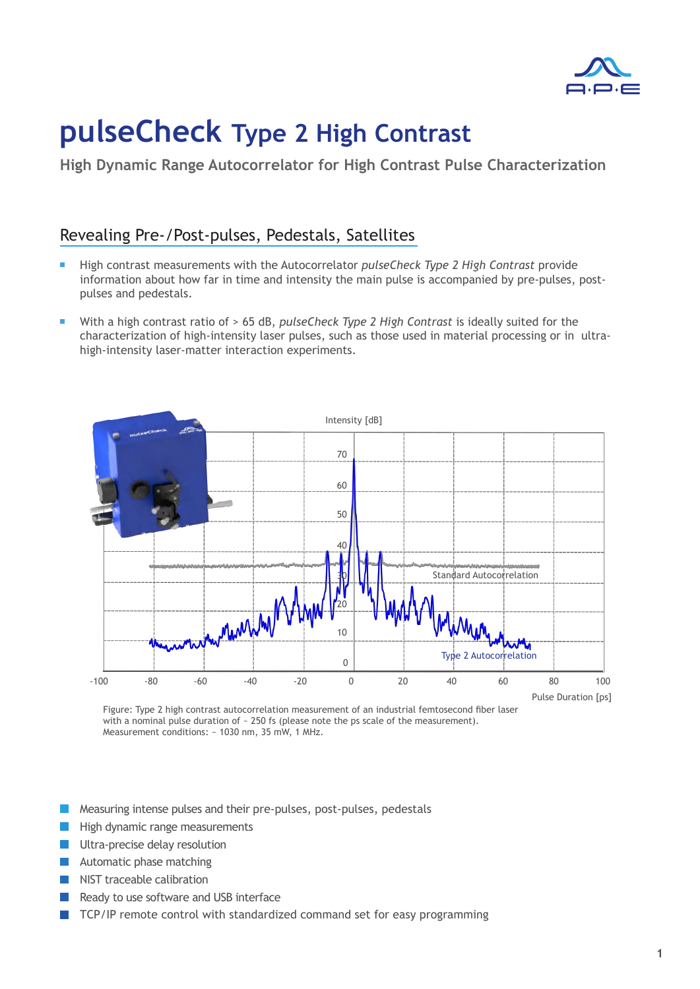

## **pulseCheck Type 2 High Contrast**

**High Dynamic Range Autocorrelator for High Contrast Pulse Characterization**

## Revealing Pre-/Post-pulses, Pedestals, Satellites

- High contrast measurements with the Autocorrelator *pulseCheck Type 2 High Contrast* provide Г information about how far in time and intensity the main pulse is accompanied by pre-pulses, postpulses and pedestals.
- With a high contrast ratio of > 65 dB, *pulseCheck Type 2 High Contrast* is ideally suited for the characterization of high-intensity laser pulses, such as those used in material processing or in ultrahigh-intensity laser-matter interaction experiments.



Figure: Type 2 high contrast autocorrelation measurement of an industrial femtosecond fiber laser with a nominal pulse duration of ~ 250 fs (please note the ps scale of the measurement). Measurement conditions: ~ 1030 nm, 35 mW, 1 MHz.

- Measuring intense pulses and their pre-pulses, post-pulses, pedestals
- High dynamic range measurements
- Ultra-precise delay resolution  $\mathcal{L}_{\mathcal{A}}$
- **Automatic phase matching**
- NIST traceable calibration
- Ready to use software and USB interface
- TCP/IP remote control with standardized command set for easy programming